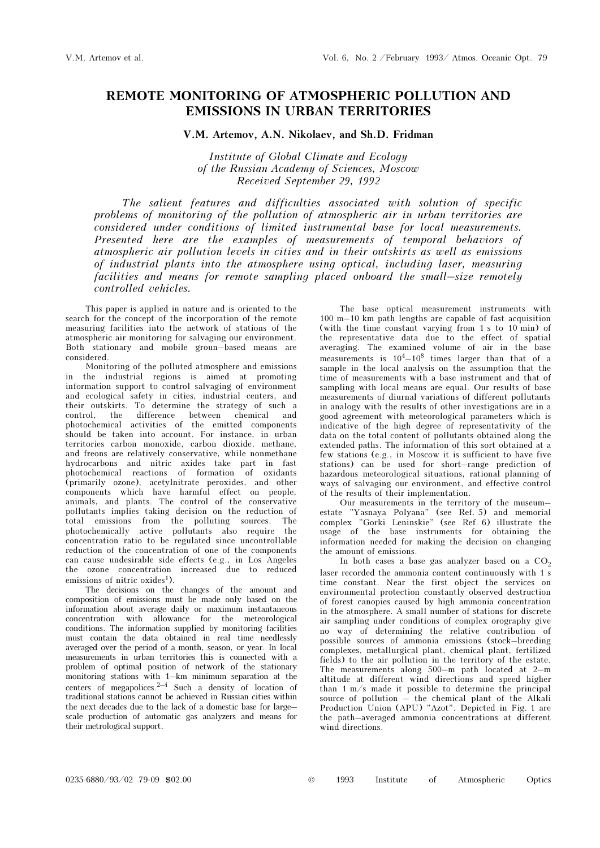## REMOTE MONITORING OF ATMOSPHERIC POLLUTION AND EMISSIONS IN URBAN TERRITORIES

## V.M. Artemov, A.N. Nikolaev, and Sh.D. Fridman

Institute of Global Climate and Ecology of the Russian Academy of Sciences, Moscow Received September 29, 1992

The salient features and difficulties associated with solution of specific problems of monitoring of the pollution of atmospheric air in urban territories are considered under conditions of limited instrumental base for local measurements. Presented here are the examples of measurements of temporal behaviors of atmospheric air pollution levels in cities and in their outskirts as well as emissions of industrial plants into the atmosphere using optical, including laser, measuring facilities and means for remote sampling placed onboard the small–size remotely controlled vehicles.

This paper is applied in nature and is oriented to the search for the concept of the incorporation of the remote measuring facilities into the network of stations of the atmospheric air monitoring for salvaging our environment. Both stationary and mobile groun–based means are considered.

Monitoring of the polluted atmosphere and emissions in the industrial regions is aimed at promoting information support to control salvaging of environment and ecological safety in cities, industrial centers, and their outskirts. To determine the strategy of such a control, the difference between chemical and photochemical activities of the emitted components should be taken into account. For instance, in urban territories carbon monoxide, carbon dioxide, methane, and freons are relatively conservative, while nonmethane hydrocarbons and nitric axides take part in fast photochemical reactions of formation of oxidants (primarily ozone), acetylnitrate peroxides, and other components which have harmful effect on people, animals, and plants. The control of the conservative pollutants implies taking decision on the reduction of total emissions from the polluting sources. The photochemically active pollutants also require the concentration ratio to be regulated since uncontrollable reduction of the concentration of one of the components can cause undesirable side effects (e.g., in Los Angeles the ozone concentration increased due to reduced emissions of nitric  $oxides<sup>1</sup>$ .

The decisions on the changes of the amount and composition of emissions must be made only based on the information about average daily or maximum instantaneous concentration with allowance for the meteorological conditions. The information supplied by monitoring facilities must contain the data obtained in real time needlessly averaged over the period of a month, season, or year. In local measurements in urban territories this is connected with a problem of optimal position of network of the stationary monitoring stations with 1–km minimum separation at the centers of megapolices.<sup>2–4</sup> Such a density of location of traditional stations cannot be achieved in Russian cities within the next decades due to the lack of a domestic base for large– scale production of automatic gas analyzers and means for their metrological support.

The base optical measurement instruments with 100 m–10 km path lengths are capable of fast acquisition (with the time constant varying from 1 s to 10 min) of the representative data due to the effect of spatial averaging. The examined volume of air in the base measurements is  $10^4 - 10^8$  times larger than that of a sample in the local analysis on the assumption that the time of measurements with a base instrument and that of sampling with local means are equal. Our results of base measurements of diurnal variations of different pollutants in analogy with the results of other investigations are in a good agreement with meteorological parameters which is indicative of the high degree of representativity of the data on the total content of pollutants obtained along the extended paths. The information of this sort obtained at a few stations (e.g., in Moscow it is sufficient to have five stations) can be used for short–range prediction of hazardous meteorological situations, rational planning of ways of salvaging our environment, and effective control of the results of their implementation.

Our measurements in the territory of the museum– estate "Yasnaya Polyana" (see Ref. 5) and memorial complex "Gorki Leninskie" (see Ref. 6) illustrate the usage of the base instruments for obtaining the information needed for making the decision on changing the amount of emissions.

In both cases a base gas analyzer based on a  $CO<sub>2</sub>$ laser recorded the ammonia content continuously with 1 s time constant. Near the first object the services on environmental protection constantly observed destruction of forest canopies caused by high ammonia concentration in the atmosphere. A small number of stations for discrete air sampling under conditions of complex orography give no way of determining the relative contribution of possible sources of ammonia emissions (stock–breeding complexes, metallurgical plant, chemical plant, fertilized fields) to the air pollution in the territory of the estate. The measurements along 500–m path located at 2–m altitude at different wind directions and speed higher than 1 m/s made it possible to determine the principal source of pollution – the chemical plant of the Alkali Production Union (APU) "Azot". Depicted in Fig. 1 are the path–averaged ammonia concentrations at different wind directions.

0235-6880/93/02 79-09 \$02.00 © 1993 Institute of Atmospheric Optics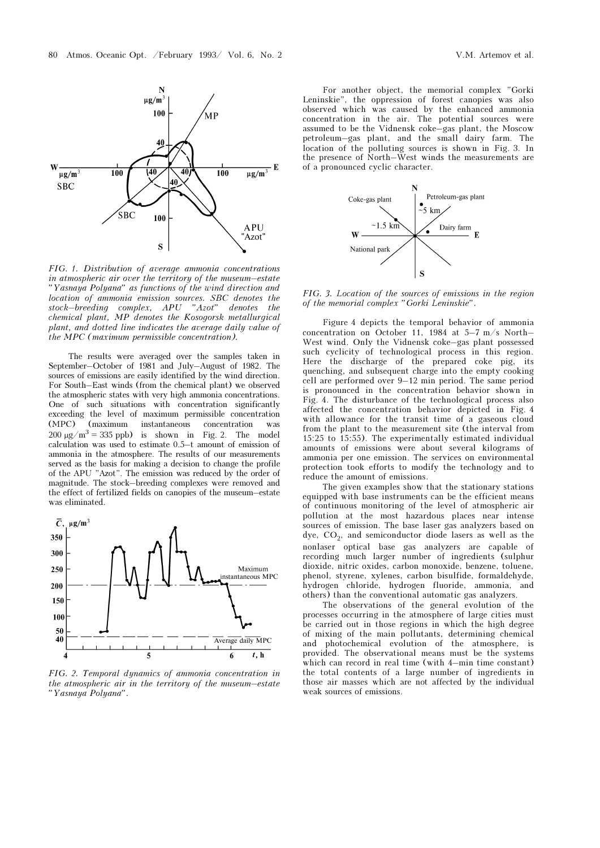

FIG. 1. Distribution of average ammonia concentrations in atmospheric air over the territory of the museum–estate "Yasnaya Polyana" as functions of the wind direction and location of ammonia emission sources. SBC denotes the stock–breeding complex, APU "Azot" denotes the chemical plant, MP denotes the Kosogorsk metallurgical plant, and dotted line indicates the average daily value of the MPC (maximum permissible concentration).

The results were averaged over the samples taken in September–October of 1981 and July–August of 1982. The sources of emissions are easily identified by the wind direction. For South–East winds (from the chemical plant) we observed the atmospheric states with very high ammonia concentrations. One of such situations with concentration significantly exceeding the level of maximum permissible concentration (MPC) (maximum instantaneous concentration was  $200 \mu g/m^3 = 335 \text{ pb}$ ) is shown in Fig. 2. The model calculation was used to estimate 0.5–t amount of emission of ammonia in the atmosphere. The results of our measurements served as the basis for making a decision to change the profile of the APU "Azot". The emission was reduced by the order of magnitude. The stock–breeding complexes were removed and the effect of fertilized fields on canopies of the museum–estate was eliminated.



FIG. 2. Temporal dynamics of ammonia concentration in the atmospheric air in the territory of the museum–estate "Yasnaya Polyana".

For another object, the memorial complex "Gorki Leninskie", the oppression of forest canopies was also observed which was caused by the enhanced ammonia concentration in the air. The potential sources were assumed to be the Vidnensk coke–gas plant, the Moscow petroleum–gas plant, and the small dairy farm. The location of the polluting sources is shown in Fig. 3. In the presence of North–West winds the measurements are of a pronounced cyclic character.



FIG. 3. Location of the sources of emissions in the region of the memorial complex "Gorki Leninskie".

Figure 4 depicts the temporal behavior of ammonia concentration on October 11, 1984 at 5–7 m/s North– West wind. Only the Vidnensk coke–gas plant possessed such cyclicity of technological process in this region. Here the discharge of the prepared coke pig, its quenching, and subsequent charge into the empty cooking cell are performed over 9–12 min period. The same period is pronounced in the concentration behavior shown in Fig. 4. The disturbance of the technological process also affected the concentration behavior depicted in Fig. 4 with allowance for the transit time of a gaseous cloud from the plant to the measurement site (the interval from 15:25 to 15:55). The experimentally estimated individual amounts of emissions were about several kilograms of ammonia per one emission. The services on environmental protection took efforts to modify the technology and to reduce the amount of emissions.

The given examples show that the stationary stations equipped with base instruments can be the efficient means of continuous monitoring of the level of atmospheric air pollution at the most hazardous places near intense sources of emission. The base laser gas analyzers based on dye,  $CO<sub>2</sub>$ , and semiconductor diode lasers as well as the nonlaser optical base gas analyzers are capable of recording much larger number of ingredients (sulphur dioxide, nitric oxides, carbon monoxide, benzene, toluene, phenol, styrene, xylenes, carbon bisulfide, formaldehyde, hydrogen chloride, hydrogen fluoride, ammonia, and others) than the conventional automatic gas analyzers.

The observations of the general evolution of the processes occurring in the atmosphere of large cities must be carried out in those regions in which the high degree of mixing of the main pollutants, determining chemical and photochemical evolution of the atmosphere, is provided. The observational means must be the systems which can record in real time (with 4–min time constant) the total contents of a large number of ingredients in those air masses which are not affected by the individual weak sources of emissions.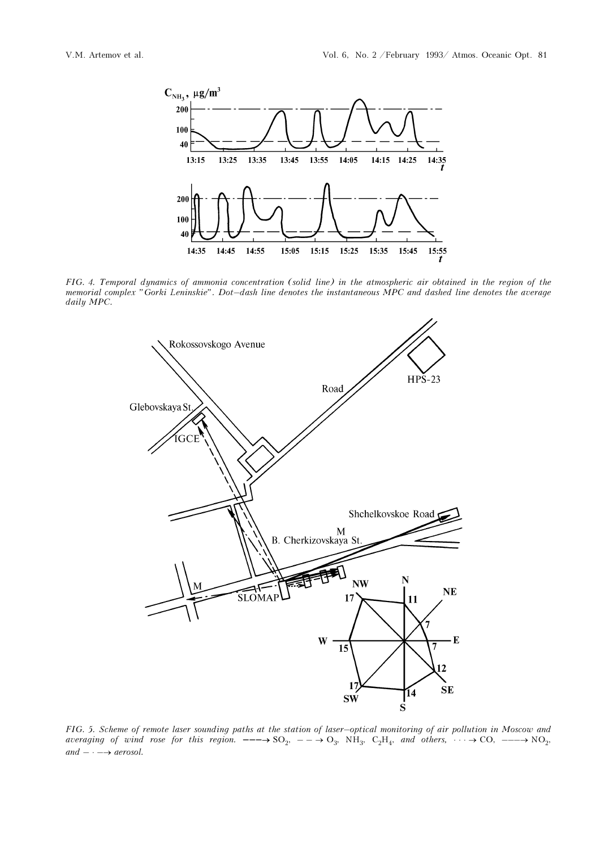

FIG. 4. Temporal dynamics of ammonia concentration (solid line) in the atmospheric air obtained in the region of the memorial complex "Gorki Leninskie". Dot–dash line denotes the instantaneous MPC and dashed line denotes the average daily MPC.



FIG. 5. Scheme of remote laser sounding paths at the station of laser–optical monitoring of air pollution in Moscow and averaging of wind rose for this region.  $---\rightarrow SO_2$ ,  $---\rightarrow O_3$ , NH<sub>3</sub>, C<sub>2</sub>H<sub>4</sub>, and others,  $\cdots \rightarrow CO$ ,  $---\rightarrow NO_2$ ,  $and$  –  $\cdot$  –  $\rightarrow$  aerosol.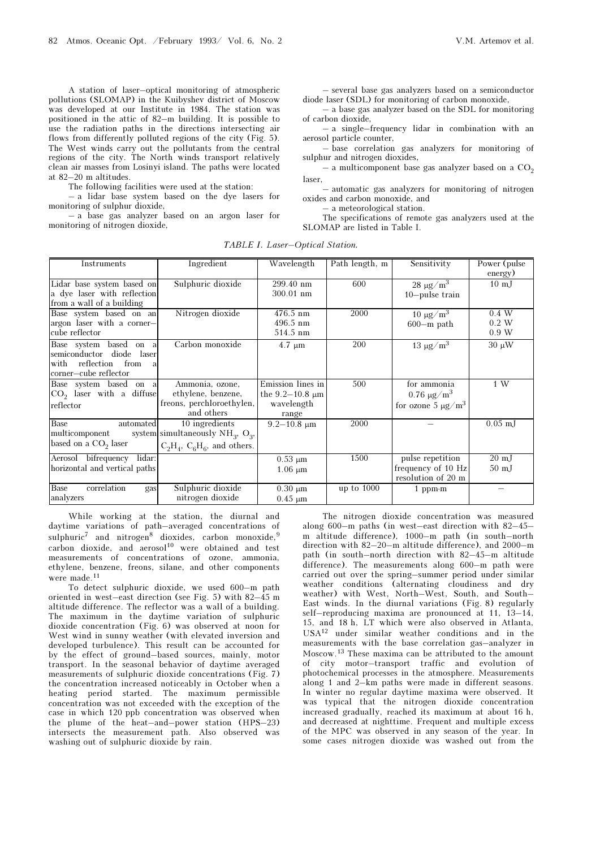A station of laser–optical monitoring of atmospheric pollutions (SLOMAP) in the Kuibyshev district of Moscow was developed at our Institute in 1984. The station was positioned in the attic of 82–m building. It is possible to use the radiation paths in the directions intersecting air flows from differently polluted regions of the city (Fig. 5). The West winds carry out the pollutants from the central regions of the city. The North winds transport relatively clean air masses from Losinyi island. The paths were located at 82–20 m altitudes.

The following facilities were used at the station:

– a lidar base system based on the dye lasers for monitoring of sulphur dioxide,

– a base gas analyzer based on an argon laser for monitoring of nitrogen dioxide,

– several base gas analyzers based on a semiconductor diode laser (SDL) for monitoring of carbon monoxide,

– a base gas analyzer based on the SDL for monitoring of carbon dioxide,

– a single–frequency lidar in combination with an aerosol particle counter,

– base correlation gas analyzers for monitoring of sulphur and nitrogen dioxides,

 $-$  a multicomponent base gas analyzer based on a  $CO<sub>2</sub>$ laser,

– automatic gas analyzers for monitoring of nitrogen oxides and carbon monoxide, and

– a meteorological station.

The specifications of remote gas analyzers used at the SLOMAP are listed in Table I.

TABLE I. Laser–Optical Station.

| Instruments                     | Ingredient                             | Wavelength             | Path length, m | Sensitivity                        | Power (pulse)   |
|---------------------------------|----------------------------------------|------------------------|----------------|------------------------------------|-----------------|
|                                 |                                        |                        |                |                                    | energy)         |
| Lidar base system based on      | Sulphuric dioxide                      | 299.40 nm              | 600            | $28 \mu g/m^3$                     | $10 \text{ mJ}$ |
| a dye laser with reflection     |                                        | $300.01$ nm            |                | $10$ -pulse train                  |                 |
| from a wall of a building       |                                        |                        |                |                                    |                 |
| Base system based on an         | Nitrogen dioxide                       | 476.5 nm               | 2000           | $10 \mu g/m^3$                     | 0.4 W           |
| argon laser with a corner-      |                                        | 496.5 nm               |                | $600$ -m path                      | 0.2 W           |
| cube reflector                  |                                        | 514.5 nm               |                |                                    | 0.9 W           |
| Base system based on a          | Carbon monoxide                        | $4.7 \mu m$            | 200            | 13 $\mu$ g/m <sup>3</sup>          | $30 \mu W$      |
| semiconductor diode laser       |                                        |                        |                |                                    |                 |
| reflection<br>with<br>from<br>a |                                        |                        |                |                                    |                 |
| corner-cube reflector           |                                        |                        |                |                                    |                 |
| Base system based on a          | Ammonia, ozone,                        | Emission lines in      | 500            | for ammonia                        | 1 W             |
| $CO2$ laser with a diffuse      | ethylene, benzene,                     | the $9.2 - 10.8 \mu m$ |                | $0.76 \mu g/m^3$                   |                 |
| reflector                       | freons, perchloroethylen,              | wavelength             |                | for ozone 5 $\mu$ g/m <sup>3</sup> |                 |
|                                 | and others                             | range                  |                |                                    |                 |
| <b>Base</b><br>automated        | 10 ingredients                         | $9.2 - 10.8$ um        | 2000           |                                    | $0.05$ mJ       |
| multicomponent                  | system simultaneously $NH_3$ , $O_3$ , |                        |                |                                    |                 |
| based on a $CO2$ laser          | $C_2H_4$ , $C_6H_6$ , and others.      |                        |                |                                    |                 |
| Aerosol bifrequency<br>lidar:   |                                        | $0.53 \mu m$           | 1500           | pulse repetition                   | $20 \text{ mJ}$ |
| horizontal and vertical paths   |                                        | $1.06 \mu m$           |                | frequency of 10 Hz                 | $50 \text{ mJ}$ |
|                                 |                                        |                        |                | resolution of 20 m                 |                 |
| correlation<br>Base<br>gas      | Sulphuric dioxide                      | $0.30 \mu m$           | up to $1000$   | 1 ppm $\cdot$ m                    |                 |
| analyzers                       | nitrogen dioxide                       | $0.45 \mu m$           |                |                                    |                 |
|                                 |                                        |                        |                |                                    |                 |

While working at the station, the diurnal and daytime variations of path–averaged concentrations of sulphuric<sup>7</sup> and nitrogen<sup>8</sup> dioxides, carbon monoxide,<sup>9</sup>  $\frac{1}{2}$  carbon dioxide, and aerosol<sup>10</sup> were obtained and test measurements of concentrations of ozone, ammonia, ethylene, benzene, freons, silane, and other components were made.<sup>11</sup>

To detect sulphuric dioxide, we used 600–m path oriented in west–east direction (see Fig. 5) with 82–45 m altitude difference. The reflector was a wall of a building. The maximum in the daytime variation of sulphuric dioxide concentration (Fig. 6) was observed at noon for West wind in sunny weather (with elevated inversion and developed turbulence). This result can be accounted for by the effect of ground–based sources, mainly, motor transport. In the seasonal behavior of daytime averaged measurements of sulphuric dioxide concentrations (Fig. 7) the concentration increased noticeably in October when a heating period started. The maximum permissible concentration was not exceeded with the exception of the case in which 120 ppb concentration was observed when the plume of the heat–and–power station (HPS–23) intersects the measurement path. Also observed was washing out of sulphuric dioxide by rain.

The nitrogen dioxide concentration was measured along 600–m paths (in west–east direction with 82–45– m altitude difference), 1000–m path (in south–north direction with 82–20–m altitude difference), and 2000–m path (in south–north direction with 82–45–m altitude difference). The measurements along 600–m path were carried out over the spring–summer period under similar weather conditions (alternating cloudiness and dry weather) with West, North–West, South, and South– East winds. In the diurnal variations (Fig. 8) regularly self–reproducing maxima are pronounced at 11, 13–14, 15, and 18 h, LT which were also observed in Atlanta, USA12 under similar weather conditions and in the measurements with the base correlation gas–analyzer in Moscow.13 These maxima can be attributed to the amount of city motor–transport traffic and evolution of photochemical processes in the atmosphere. Measurements along 1 and 2–km paths were made in different seasons. In winter no regular daytime maxima were observed. It was typical that the nitrogen dioxide concentration increased gradually, reached its maximum at about 16 h, and decreased at nighttime. Frequent and multiple excess of the MPC was observed in any season of the year. In some cases nitrogen dioxide was washed out from the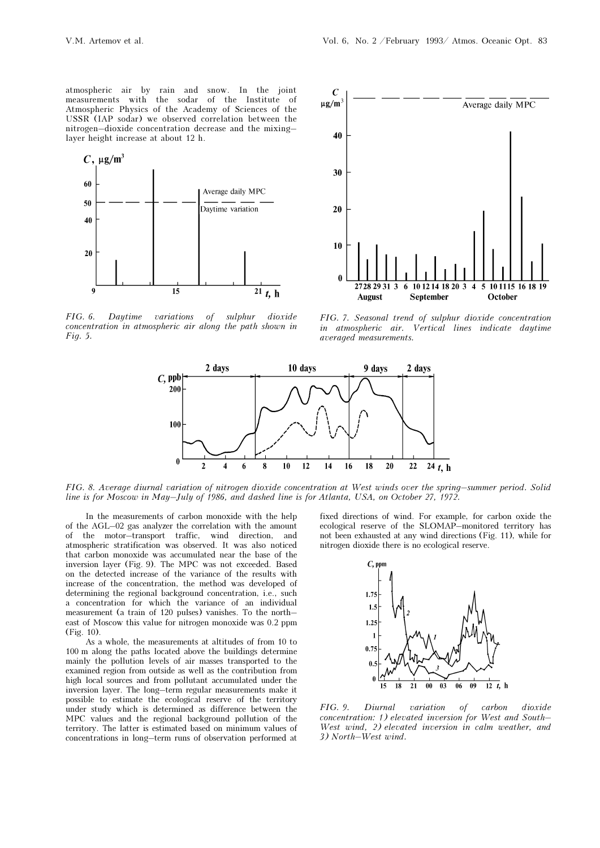atmospheric air by rain and snow. In the joint measurements with the sodar of the Institute of Atmospheric Physics of the Academy of Sciences of the USSR (IAP sodar) we observed correlation between the nitrogen–dioxide concentration decrease and the mixing– layer height increase at about 12 h.



FIG. 6. Daytime variations of sulphur dioxide concentration in atmospheric air along the path shown in Fig. 5.



FIG. 7. Seasonal trend of sulphur dioxide concentration in atmospheric air. Vertical lines indicate daytime averaged measurements.



FIG. 8. Average diurnal variation of nitrogen dioxide concentration at West winds over the spring–summer period. Solid line is for Moscow in May–July of 1986, and dashed line is for Atlanta, USA, on October 27, 1972.

In the measurements of carbon monoxide with the help of the AGL–02 gas analyzer the correlation with the amount of the motor–transport traffic, wind direction, and atmospheric stratification was observed. It was also noticed that carbon monoxide was accumulated near the base of the inversion layer (Fig. 9). The MPC was not exceeded. Based on the detected increase of the variance of the results with increase of the concentration, the method was developed of determining the regional background concentration, i.e., such a concentration for which the variance of an individual measurement (a train of 120 pulses) vanishes. To the north– east of Moscow this value for nitrogen monoxide was 0.2 ppm (Fig. 10).

As a whole, the measurements at altitudes of from 10 to 100 m along the paths located above the buildings determine mainly the pollution levels of air masses transported to the examined region from outside as well as the contribution from high local sources and from pollutant accumulated under the inversion layer. The long–term regular measurements make it possible to estimate the ecological reserve of the territory under study which is determined as difference between the MPC values and the regional background pollution of the territory. The latter is estimated based on minimum values of concentrations in long–term runs of observation performed at

fixed directions of wind. For example, for carbon oxide the ecological reserve of the SLOMAP–monitored territory has not been exhausted at any wind directions (Fig. 11), while for nitrogen dioxide there is no ecological reserve.



FIG. 9. Diurnal variation of carbon dioxide concentration: 1) elevated inversion for West and South– West wind, 2) elevated inversion in calm weather, and 3) North–West wind.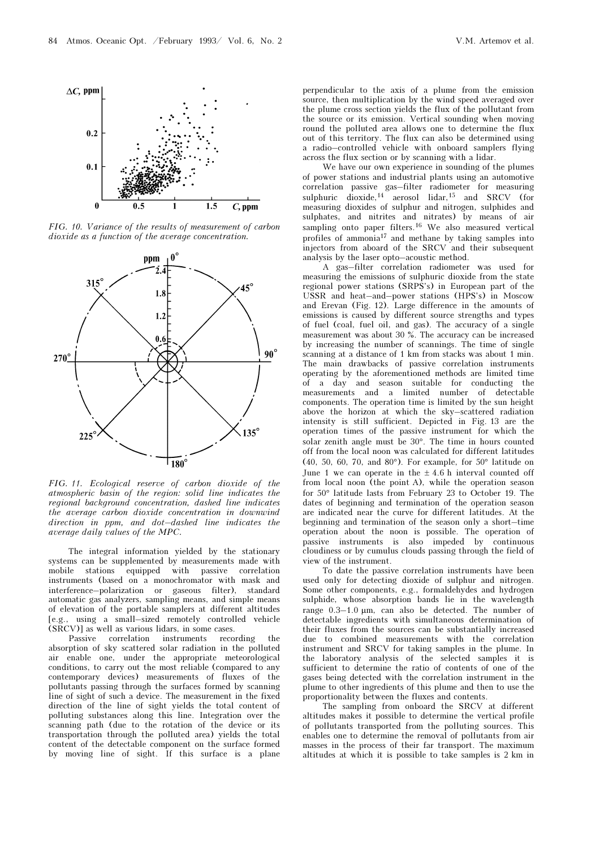

FIG. 10. Variance of the results of measurement of carbon dioxide as a function of the average concentration.



FIG. 11. Ecological reserve of carbon dioxide of the atmospheric basin of the region: solid line indicates the regional background concentration, dashed line indicates the average carbon dioxide concentration in downwind direction in ppm, and dot–dashed line indicates the average daily values of the MPC.

The integral information yielded by the stationary systems can be supplemented by measurements made with mobile stations equipped with passive correlation instruments (based on a monochromator with mask and interference–polarization or gaseous filter), standard automatic gas analyzers, sampling means, and simple means of elevation of the portable samplers at different altitudes [e.g., using a small–sized remotely controlled vehicle (SRCV)] as well as various lidars, in some cases.

Passive correlation instruments recording the absorption of sky scattered solar radiation in the polluted air enable one, under the appropriate meteorological conditions, to carry out the most reliable (compared to any contemporary devices) measurements of fluxes of the pollutants passing through the surfaces formed by scanning line of sight of such a device. The measurement in the fixed direction of the line of sight yields the total content of polluting substances along this line. Integration over the scanning path (due to the rotation of the device or its transportation through the polluted area) yields the total content of the detectable component on the surface formed by moving line of sight. If this surface is a plane

perpendicular to the axis of a plume from the emission source, then multiplication by the wind speed averaged over the plume cross section yields the flux of the pollutant from the source or its emission. Vertical sounding when moving round the polluted area allows one to determine the flux out of this territory. The flux can also be determined using a radio–controlled vehicle with onboard samplers flying across the flux section or by scanning with a lidar.

We have our own experience in sounding of the plumes of power stations and industrial plants using an automotive correlation passive gas–filter radiometer for measuring sulphuric dioxide,<sup>14</sup> aerosol lidar,<sup>15</sup> and SRCV (for measuring dioxides of sulphur and nitrogen, sulphides and sulphates, and nitrites and nitrates) by means of air sampling onto paper filters.<sup>16</sup> We also measured vertical profiles of ammonia17 and methane by taking samples into injectors from aboard of the SRCV and their subsequent analysis by the laser opto–acoustic method.

A gas–filter correlation radiometer was used for measuring the emissions of sulphuric dioxide from the state regional power stations (SRPS's) in European part of the USSR and heat–and–power stations (HPS's) in Moscow and Erevan (Fig. 12). Large difference in the amounts of emissions is caused by different source strengths and types of fuel (coal, fuel oil, and gas). The accuracy of a single measurement was about 30 %. The accuracy can be increased by increasing the number of scannings. The time of single scanning at a distance of 1 km from stacks was about 1 min. The main drawbacks of passive correlation instruments operating by the aforementioned methods are limited time of a day and season suitable for conducting the measurements and a limited number of detectable components. The operation time is limited by the sun height above the horizon at which the sky–scattered radiation intensity is still sufficient. Depicted in Fig. 13 are the operation times of the passive instrument for which the solar zenith angle must be 30°. The time in hours counted off from the local noon was calculated for different latitudes (40, 50, 60, 70, and 80°). For example, for 50° latitude on June 1 we can operate in the  $\pm 4.6$  h interval counted off from local noon (the point A), while the operation season for 50° latitude lasts from February 23 to October 19. The dates of beginning and termination of the operation season are indicated near the curve for different latitudes. At the beginning and termination of the season only a short–time operation about the noon is possible. The operation of passive instruments is also impeded by continuous cloudiness or by cumulus clouds passing through the field of view of the instrument.

To date the passive correlation instruments have been used only for detecting dioxide of sulphur and nitrogen. Some other components, e.g., formaldehydes and hydrogen sulphide, whose absorption bands lie in the wavelength range 0.3–1.0 μm, can also be detected. The number of detectable ingredients with simultaneous determination of their fluxes from the sources can be substantially increased due to combined measurements with the correlation instrument and SRCV for taking samples in the plume. In the laboratory analysis of the selected samples it is sufficient to determine the ratio of contents of one of the gases being detected with the correlation instrument in the plume to other ingredients of this plume and then to use the proportionality between the fluxes and contents.

The sampling from onboard the SRCV at different altitudes makes it possible to determine the vertical profile of pollutants transported from the polluting sources. This enables one to determine the removal of pollutants from air masses in the process of their far transport. The maximum altitudes at which it is possible to take samples is 2 km in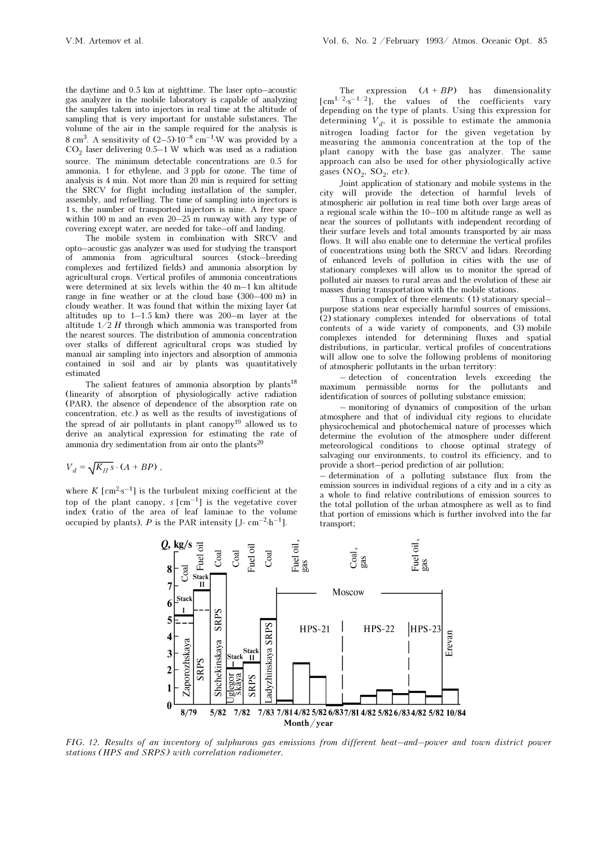the daytime and 0.5 km at nighttime. The laser opto–acoustic gas analyzer in the mobile laboratory is capable of analyzing the samples taken into injectors in real time at the altitude of sampling that is very important for unstable substances. The volume of the air in the sample required for the analysis is 8 cm<sup>3</sup>. A sensitivity of  $(2-5) \cdot 10^{-8}$  cm<sup>-1</sup>⋅W was provided by a  $CO<sub>2</sub>$  laser delivering 0.5–1 W which was used as a radiation source. The minimum detectable concentrations are 0.5 for ammonia, 1 for ethylene, and 3 ppb for ozone. The time of analysis is 4 min. Not more than 20 min is required for setting the SRCV for flight including installation of the sampler, assembly, and refuelling. The time of sampling into injectors is 1 s, the number of transported injectors is nine. A free space within 100 m and an even 20–25 m runway with any type of covering except water, are needed for take–off and landing.

The mobile system in combination with SRCV and opto–acoustic gas analyzer was used for studying the transport of ammonia from agricultural sources (stock–breeding complexes and fertilized fields) and ammonia absorption by agricultural crops. Vertical profiles of ammonia concentrations were determined at six levels within the 40 m–1 km altitude range in fine weather or at the cloud base (300–400 m) in cloudy weather. It was found that within the mixing layer (at altitudes up to 1–1.5 km) there was 200–m layer at the altitude  $1/2$  H through which ammonia was transported from the nearest sources. The distribution of ammonia concentration over stalks of different agricultural crops was studied by manual air sampling into injectors and absorption of ammonia contained in soil and air by plants was quantitatively estimated

The salient features of ammonia absorption by plants<sup>18</sup> (linearity of absorption of physiologically active radiation (PAR), the absence of dependence of the absorption rate on concentration, etc.) as well as the results of investigations of the spread of air pollutants in plant canopy19 allowed us to derive an analytical expression for estimating the rate of ammonia dry sedimentation from air onto the plants<sup>20</sup>

$$
V_d = \sqrt{K_H s} \cdot (A + BP) ,
$$

where K  $[\text{cm}^2 \text{-s}^{-1}]$  is the turbulent mixing coefficient at the top of the plant canopy,  $s \, [\text{cm}^{-1}]$  is the vegetative cover index (ratio of the area of leaf laminae to the volume occupied by plants), P is the PAR intensity [J⋅ cm<sup>-2</sup>⋅h<sup>-1</sup>].

The expression  $(A + BP)$  has dimensionality  $\lceil$  cm<sup>1/2</sup>⋅s<sup>-1/2</sup>], the values of the coefficients vary depending on the type of plants. Using this expression for determining  $V_d$ , it is possible to estimate the ammonia nitrogen loading factor for the given vegetation by measuring the ammonia concentration at the top of the plant canopy with the base gas analyzer. The same approach can also be used for other physiologically active gases  $(NO_2, SO_2, etc).$ 

Joint application of stationary and mobile systems in the city will provide the detection of harmful levels of atmospheric air pollution in real time both over large areas of a regional scale within the 10–100 m altitude range as well as near the sources of pollutants with independent recording of their surface levels and total amounts transported by air mass flows. It will also enable one to determine the vertical profiles of concentrations using both the SRCV and lidars. Recording of enhanced levels of pollution in cities with the use of stationary complexes will allow us to monitor the spread of polluted air masses to rural areas and the evolution of these air masses during transportation with the mobile stations.

Thus a complex of three elements: (1) stationary special– purpose stations near especially harmful sources of emissions, (2) stationary complexes intended for observations of total contents of a wide variety of components, and (3) mobile complexes intended for determining fluxes and spatial distributions, in particular, vertical profiles of concentrations will allow one to solve the following problems of monitoring of atmospheric pollutants in the urban territory:

– detection of concentration levels exceeding the maximum permissible norms for the pollutants identification of sources of polluting substance emission;

– monitoring of dynamics of composition of the urban atmosphere and that of individual city regions to elucidate physicochemical and photochemical nature of processes which determine the evolution of the atmosphere under different meteorological conditions to choose optimal strategy of salvaging our environments, to control its efficiency, and to provide a short–period prediction of air pollution;

– determination of a polluting substance flux from the emission sources in individual regions of a city and in a city as a whole to find relative contributions of emission sources to the total pollution of the urban atmosphere as well as to find that portion of emissions which is further involved into the far transport;



FIG. 12. Results of an inventory of sulphurous gas emissions from different heat–and–power and town district power stations (HPS and SRPS) with correlation radiometer.